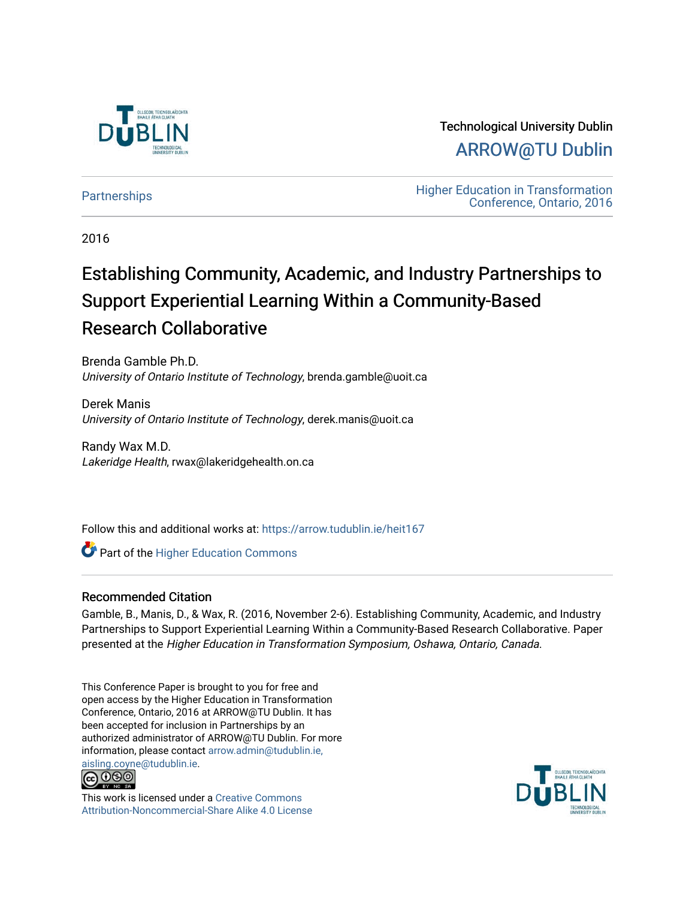

Technological University Dublin [ARROW@TU Dublin](https://arrow.tudublin.ie/) 

[Partnerships](https://arrow.tudublin.ie/heit167) **Education** Higher Education in Transformation [Conference, Ontario, 2016](https://arrow.tudublin.ie/tuheit16) 

2016

# Establishing Community, Academic, and Industry Partnerships to Support Experiential Learning Within a Community-Based Research Collaborative

Brenda Gamble Ph.D. University of Ontario Institute of Technology, brenda.gamble@uoit.ca

Derek Manis University of Ontario Institute of Technology, derek.manis@uoit.ca

Randy Wax M.D. Lakeridge Health, rwax@lakeridgehealth.on.ca

Follow this and additional works at: [https://arrow.tudublin.ie/heit167](https://arrow.tudublin.ie/heit167?utm_source=arrow.tudublin.ie%2Fheit167%2F2&utm_medium=PDF&utm_campaign=PDFCoverPages)

**Part of the Higher Education Commons** 

## Recommended Citation

Gamble, B., Manis, D., & Wax, R. (2016, November 2-6). Establishing Community, Academic, and Industry Partnerships to Support Experiential Learning Within a Community-Based Research Collaborative. Paper presented at the Higher Education in Transformation Symposium, Oshawa, Ontario, Canada.

This Conference Paper is brought to you for free and open access by the Higher Education in Transformation Conference, Ontario, 2016 at ARROW@TU Dublin. It has been accepted for inclusion in Partnerships by an authorized administrator of ARROW@TU Dublin. For more information, please contact [arrow.admin@tudublin.ie,](mailto:arrow.admin@tudublin.ie,%20aisling.coyne@tudublin.ie) 



This work is licensed under a [Creative Commons](http://creativecommons.org/licenses/by-nc-sa/4.0/) [Attribution-Noncommercial-Share Alike 4.0 License](http://creativecommons.org/licenses/by-nc-sa/4.0/)

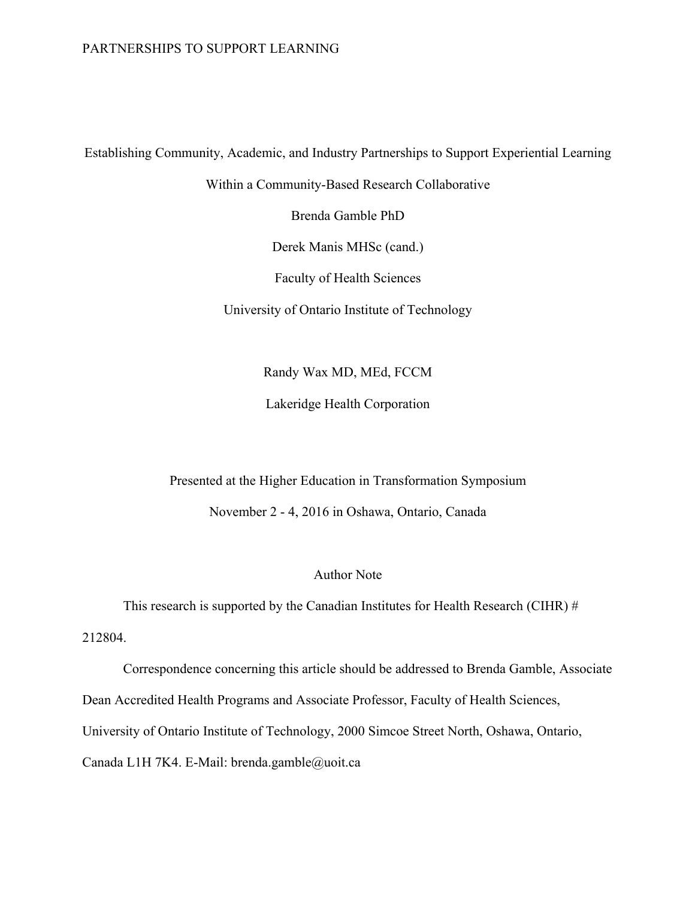# PARTNERSHIPS TO SUPPORT LEARNING

Establishing Community, Academic, and Industry Partnerships to Support Experiential Learning

Within a Community-Based Research Collaborative

Brenda Gamble PhD

Derek Manis MHSc (cand.)

Faculty of Health Sciences

University of Ontario Institute of Technology

Randy Wax MD, MEd, FCCM

Lakeridge Health Corporation

Presented at the Higher Education in Transformation Symposium

November 2 - 4, 2016 in Oshawa, Ontario, Canada

# Author Note

This research is supported by the Canadian Institutes for Health Research (CIHR)  $#$ 

212804.

Correspondence concerning this article should be addressed to Brenda Gamble, Associate Dean Accredited Health Programs and Associate Professor, Faculty of Health Sciences, University of Ontario Institute of Technology, 2000 Simcoe Street North, Oshawa, Ontario, Canada L1H 7K4. E-Mail: brenda.gamble@uoit.ca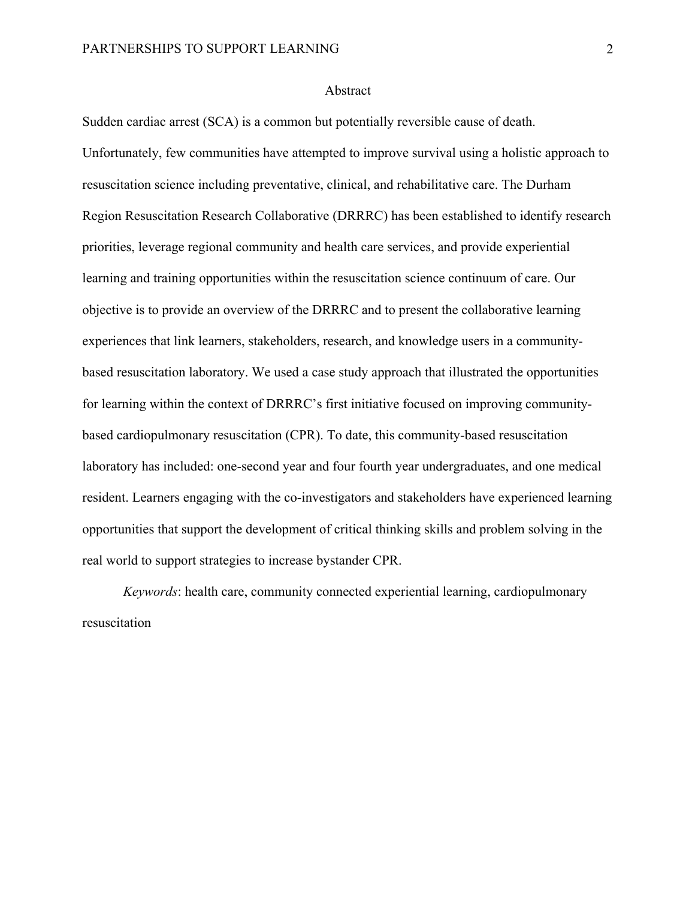#### Abstract

Sudden cardiac arrest (SCA) is a common but potentially reversible cause of death. Unfortunately, few communities have attempted to improve survival using a holistic approach to resuscitation science including preventative, clinical, and rehabilitative care. The Durham Region Resuscitation Research Collaborative (DRRRC) has been established to identify research priorities, leverage regional community and health care services, and provide experiential learning and training opportunities within the resuscitation science continuum of care. Our objective is to provide an overview of the DRRRC and to present the collaborative learning experiences that link learners, stakeholders, research, and knowledge users in a communitybased resuscitation laboratory. We used a case study approach that illustrated the opportunities for learning within the context of DRRRC's first initiative focused on improving communitybased cardiopulmonary resuscitation (CPR). To date, this community-based resuscitation laboratory has included: one-second year and four fourth year undergraduates, and one medical resident. Learners engaging with the co-investigators and stakeholders have experienced learning opportunities that support the development of critical thinking skills and problem solving in the real world to support strategies to increase bystander CPR.

*Keywords*: health care, community connected experiential learning, cardiopulmonary resuscitation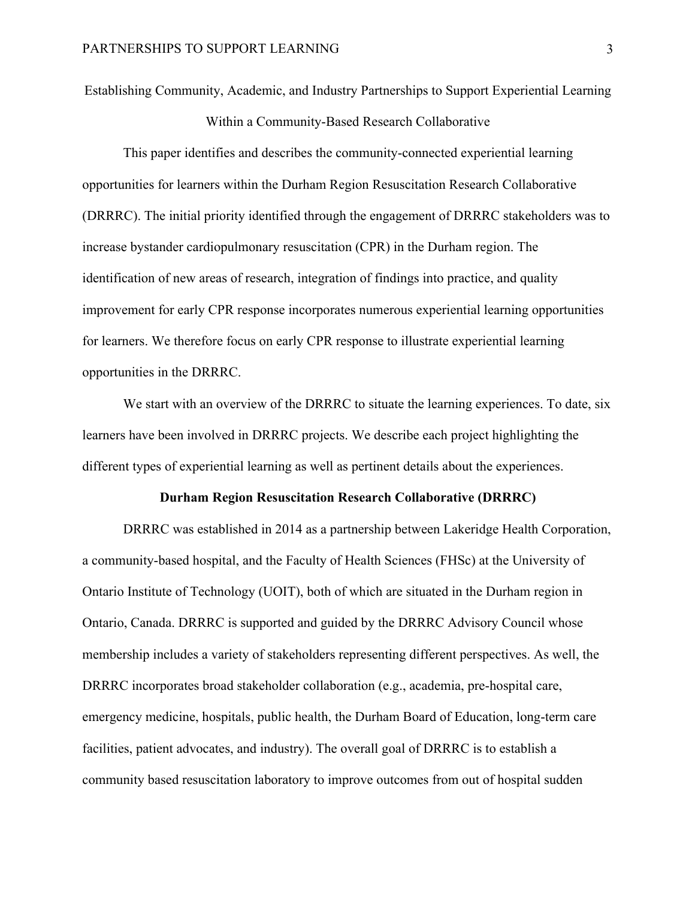Establishing Community, Academic, and Industry Partnerships to Support Experiential Learning

Within a Community-Based Research Collaborative

This paper identifies and describes the community-connected experiential learning opportunities for learners within the Durham Region Resuscitation Research Collaborative (DRRRC). The initial priority identified through the engagement of DRRRC stakeholders was to increase bystander cardiopulmonary resuscitation (CPR) in the Durham region. The identification of new areas of research, integration of findings into practice, and quality improvement for early CPR response incorporates numerous experiential learning opportunities for learners. We therefore focus on early CPR response to illustrate experiential learning opportunities in the DRRRC.

We start with an overview of the DRRRC to situate the learning experiences. To date, six learners have been involved in DRRRC projects. We describe each project highlighting the different types of experiential learning as well as pertinent details about the experiences.

#### **Durham Region Resuscitation Research Collaborative (DRRRC)**

DRRRC was established in 2014 as a partnership between Lakeridge Health Corporation, a community-based hospital, and the Faculty of Health Sciences (FHSc) at the University of Ontario Institute of Technology (UOIT), both of which are situated in the Durham region in Ontario, Canada. DRRRC is supported and guided by the DRRRC Advisory Council whose membership includes a variety of stakeholders representing different perspectives. As well, the DRRRC incorporates broad stakeholder collaboration (e.g., academia, pre-hospital care, emergency medicine, hospitals, public health, the Durham Board of Education, long-term care facilities, patient advocates, and industry). The overall goal of DRRRC is to establish a community based resuscitation laboratory to improve outcomes from out of hospital sudden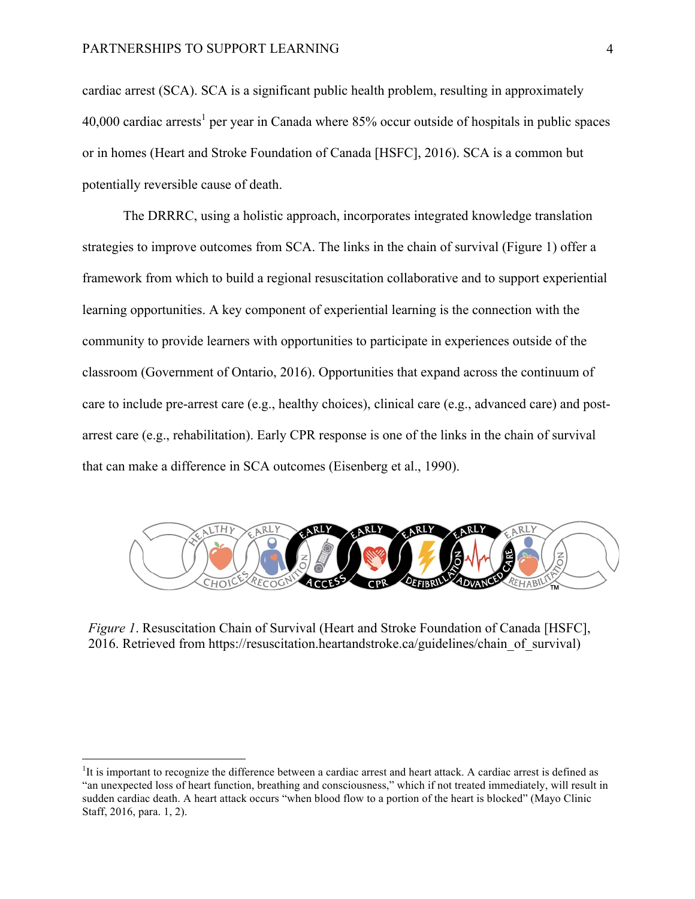cardiac arrest (SCA). SCA is a significant public health problem, resulting in approximately 40,000 cardiac arrests<sup>1</sup> per year in Canada where  $85%$  occur outside of hospitals in public spaces or in homes (Heart and Stroke Foundation of Canada [HSFC], 2016). SCA is a common but potentially reversible cause of death.

The DRRRC, using a holistic approach, incorporates integrated knowledge translation strategies to improve outcomes from SCA. The links in the chain of survival (Figure 1) offer a framework from which to build a regional resuscitation collaborative and to support experiential learning opportunities. A key component of experiential learning is the connection with the community to provide learners with opportunities to participate in experiences outside of the classroom (Government of Ontario, 2016). Opportunities that expand across the continuum of care to include pre-arrest care (e.g., healthy choices), clinical care (e.g., advanced care) and postarrest care (e.g., rehabilitation). Early CPR response is one of the links in the chain of survival that can make a difference in SCA outcomes (Eisenberg et al., 1990).



*Figure 1*. Resuscitation Chain of Survival (Heart and Stroke Foundation of Canada [HSFC], 2016. Retrieved from https://resuscitation.heartandstroke.ca/guidelines/chain\_of\_survival)

<u> Andrew Maria (1989)</u>

<sup>&</sup>lt;sup>1</sup>It is important to recognize the difference between a cardiac arrest and heart attack. A cardiac arrest is defined as "an unexpected loss of heart function, breathing and consciousness," which if not treated immediately, will result in sudden cardiac death. A heart attack occurs "when blood flow to a portion of the heart is blocked" (Mayo Clinic Staff, 2016, para. 1, 2).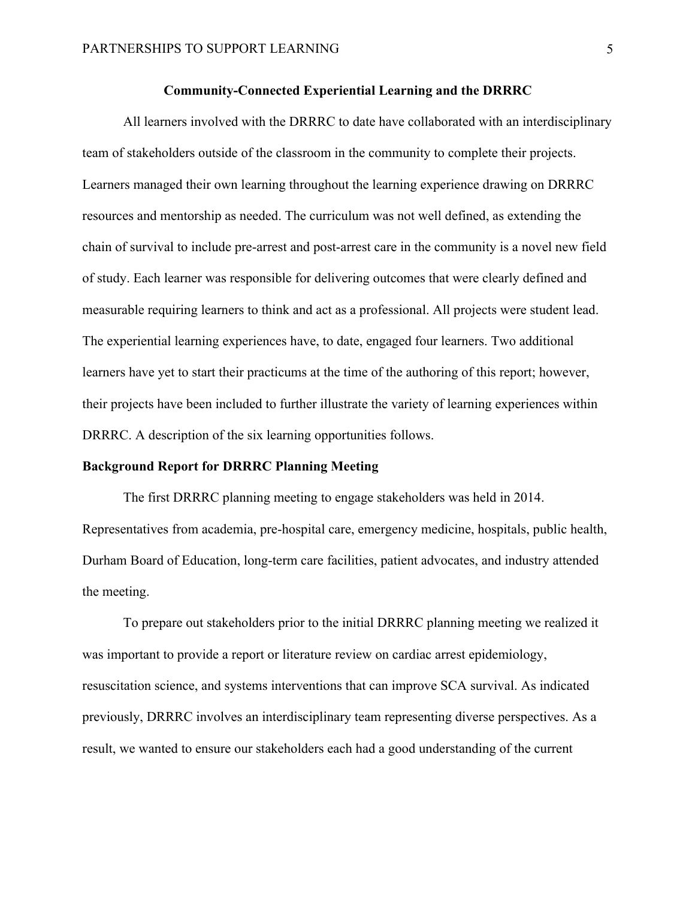### **Community-Connected Experiential Learning and the DRRRC**

All learners involved with the DRRRC to date have collaborated with an interdisciplinary team of stakeholders outside of the classroom in the community to complete their projects. Learners managed their own learning throughout the learning experience drawing on DRRRC resources and mentorship as needed. The curriculum was not well defined, as extending the chain of survival to include pre-arrest and post-arrest care in the community is a novel new field of study. Each learner was responsible for delivering outcomes that were clearly defined and measurable requiring learners to think and act as a professional. All projects were student lead. The experiential learning experiences have, to date, engaged four learners. Two additional learners have yet to start their practicums at the time of the authoring of this report; however, their projects have been included to further illustrate the variety of learning experiences within DRRRC. A description of the six learning opportunities follows.

#### **Background Report for DRRRC Planning Meeting**

The first DRRRC planning meeting to engage stakeholders was held in 2014. Representatives from academia, pre-hospital care, emergency medicine, hospitals, public health, Durham Board of Education, long-term care facilities, patient advocates, and industry attended the meeting.

To prepare out stakeholders prior to the initial DRRRC planning meeting we realized it was important to provide a report or literature review on cardiac arrest epidemiology, resuscitation science, and systems interventions that can improve SCA survival. As indicated previously, DRRRC involves an interdisciplinary team representing diverse perspectives. As a result, we wanted to ensure our stakeholders each had a good understanding of the current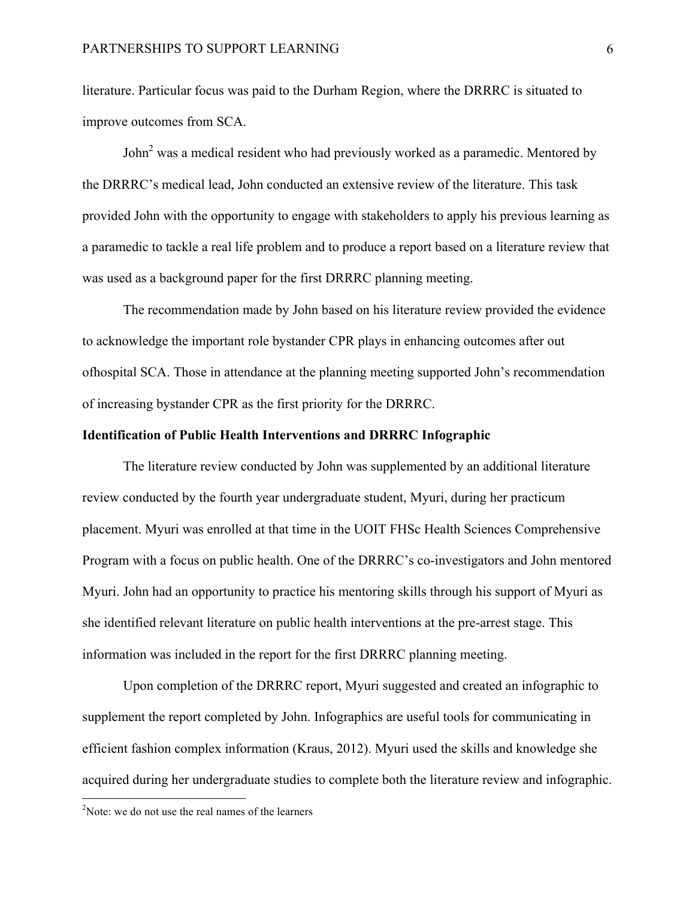literature. Particular focus was paid to the Durham Region, where the DRRRC is situated to improve outcomes from SCA.

John<sup>2</sup> was a medical resident who had previously worked as a paramedic. Mentored by the DRRRC's medical lead, John conducted an extensive review of the literature. This task provided John with the opportunity to engage with stakeholders to apply his previous learning as a paramedic to tackle a real life problem and to produce a report based on a literature review that was used as a background paper for the first DRRRC planning meeting.

The recommendation made by John based on his literature review provided the evidence to acknowledge the important role bystander CPR plays in enhancing outcomes after out ofhospital SCA. Those in attendance at the planning meeting supported John's recommendation of increasing bystander CPR as the first priority for the DRRRC.

### **Identification of Public Health Interventions and DRRRC Infographic**

The literature review conducted by John was supplemented by an additional literature review conducted by the fourth year undergraduate student, Myuri, during her practicum placement. Myuri was enrolled at that time in the UOIT FHSc Health Sciences Comprehensive Program with a focus on public health. One of the DRRRC's co-investigators and John mentored Myuri. John had an opportunity to practice his mentoring skills through his support of Myuri as she identified relevant literature on public health interventions at the pre-arrest stage. This information was included in the report for the first DRRRC planning meeting.

Upon completion of the DRRRC report, Myuri suggested and created an infographic to supplement the report completed by John. Infographics are useful tools for communicating in efficient fashion complex information (Kraus, 2012). Myuri used the skills and knowledge she acquired during her undergraduate studies to complete both the literature review and infographic.

<u> Andrew Maria (1989)</u>

<sup>&</sup>lt;sup>2</sup>Note: we do not use the real names of the learners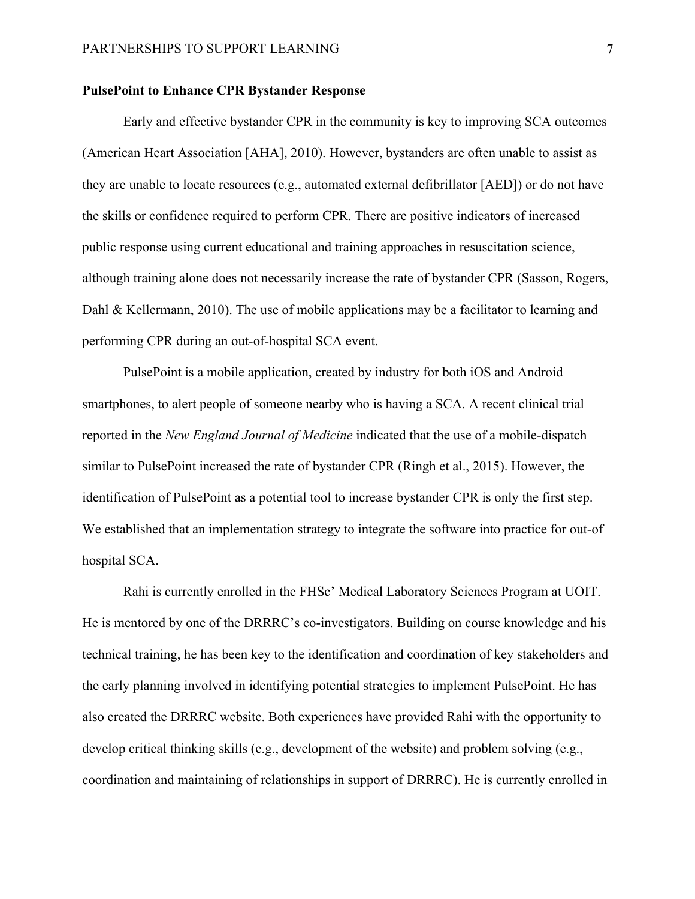#### **PulsePoint to Enhance CPR Bystander Response**

Early and effective bystander CPR in the community is key to improving SCA outcomes (American Heart Association [AHA], 2010). However, bystanders are often unable to assist as they are unable to locate resources (e.g., automated external defibrillator [AED]) or do not have the skills or confidence required to perform CPR. There are positive indicators of increased public response using current educational and training approaches in resuscitation science, although training alone does not necessarily increase the rate of bystander CPR (Sasson, Rogers, Dahl & Kellermann, 2010). The use of mobile applications may be a facilitator to learning and performing CPR during an out-of-hospital SCA event.

PulsePoint is a mobile application, created by industry for both iOS and Android smartphones, to alert people of someone nearby who is having a SCA. A recent clinical trial reported in the *New England Journal of Medicine* indicated that the use of a mobile-dispatch similar to PulsePoint increased the rate of bystander CPR (Ringh et al., 2015). However, the identification of PulsePoint as a potential tool to increase bystander CPR is only the first step. We established that an implementation strategy to integrate the software into practice for out-ofhospital SCA.

Rahi is currently enrolled in the FHSc' Medical Laboratory Sciences Program at UOIT. He is mentored by one of the DRRRC's co-investigators. Building on course knowledge and his technical training, he has been key to the identification and coordination of key stakeholders and the early planning involved in identifying potential strategies to implement PulsePoint. He has also created the DRRRC website. Both experiences have provided Rahi with the opportunity to develop critical thinking skills (e.g., development of the website) and problem solving (e.g., coordination and maintaining of relationships in support of DRRRC). He is currently enrolled in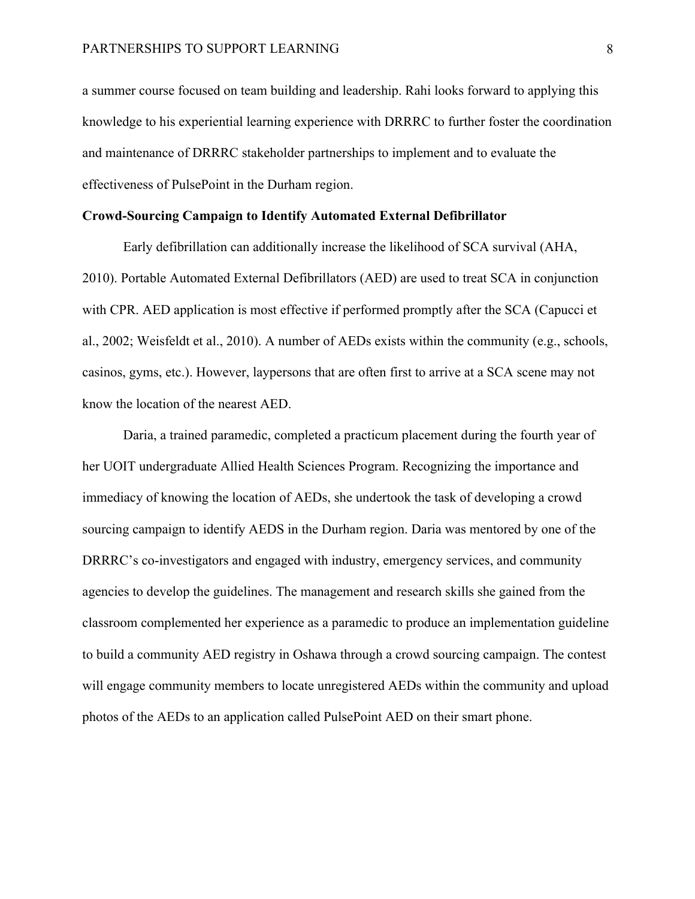a summer course focused on team building and leadership. Rahi looks forward to applying this knowledge to his experiential learning experience with DRRRC to further foster the coordination and maintenance of DRRRC stakeholder partnerships to implement and to evaluate the effectiveness of PulsePoint in the Durham region.

#### **Crowd-Sourcing Campaign to Identify Automated External Defibrillator**

Early defibrillation can additionally increase the likelihood of SCA survival (AHA, 2010). Portable Automated External Defibrillators (AED) are used to treat SCA in conjunction with CPR. AED application is most effective if performed promptly after the SCA (Capucci et al., 2002; Weisfeldt et al., 2010). A number of AEDs exists within the community (e.g., schools, casinos, gyms, etc.). However, laypersons that are often first to arrive at a SCA scene may not know the location of the nearest AED.

Daria, a trained paramedic, completed a practicum placement during the fourth year of her UOIT undergraduate Allied Health Sciences Program. Recognizing the importance and immediacy of knowing the location of AEDs, she undertook the task of developing a crowd sourcing campaign to identify AEDS in the Durham region. Daria was mentored by one of the DRRRC's co-investigators and engaged with industry, emergency services, and community agencies to develop the guidelines. The management and research skills she gained from the classroom complemented her experience as a paramedic to produce an implementation guideline to build a community AED registry in Oshawa through a crowd sourcing campaign. The contest will engage community members to locate unregistered AEDs within the community and upload photos of the AEDs to an application called PulsePoint AED on their smart phone.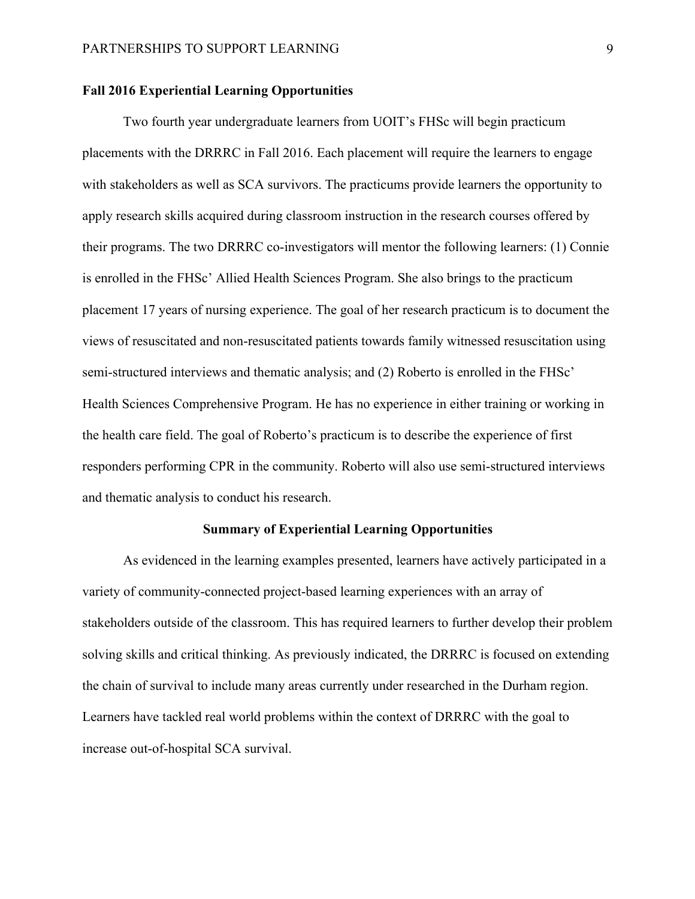### **Fall 2016 Experiential Learning Opportunities**

Two fourth year undergraduate learners from UOIT's FHSc will begin practicum placements with the DRRRC in Fall 2016. Each placement will require the learners to engage with stakeholders as well as SCA survivors. The practicums provide learners the opportunity to apply research skills acquired during classroom instruction in the research courses offered by their programs. The two DRRRC co-investigators will mentor the following learners: (1) Connie is enrolled in the FHSc' Allied Health Sciences Program. She also brings to the practicum placement 17 years of nursing experience. The goal of her research practicum is to document the views of resuscitated and non-resuscitated patients towards family witnessed resuscitation using semi-structured interviews and thematic analysis; and (2) Roberto is enrolled in the FHSc' Health Sciences Comprehensive Program. He has no experience in either training or working in the health care field. The goal of Roberto's practicum is to describe the experience of first responders performing CPR in the community. Roberto will also use semi-structured interviews and thematic analysis to conduct his research.

#### **Summary of Experiential Learning Opportunities**

As evidenced in the learning examples presented, learners have actively participated in a variety of community-connected project-based learning experiences with an array of stakeholders outside of the classroom. This has required learners to further develop their problem solving skills and critical thinking. As previously indicated, the DRRRC is focused on extending the chain of survival to include many areas currently under researched in the Durham region. Learners have tackled real world problems within the context of DRRRC with the goal to increase out-of-hospital SCA survival.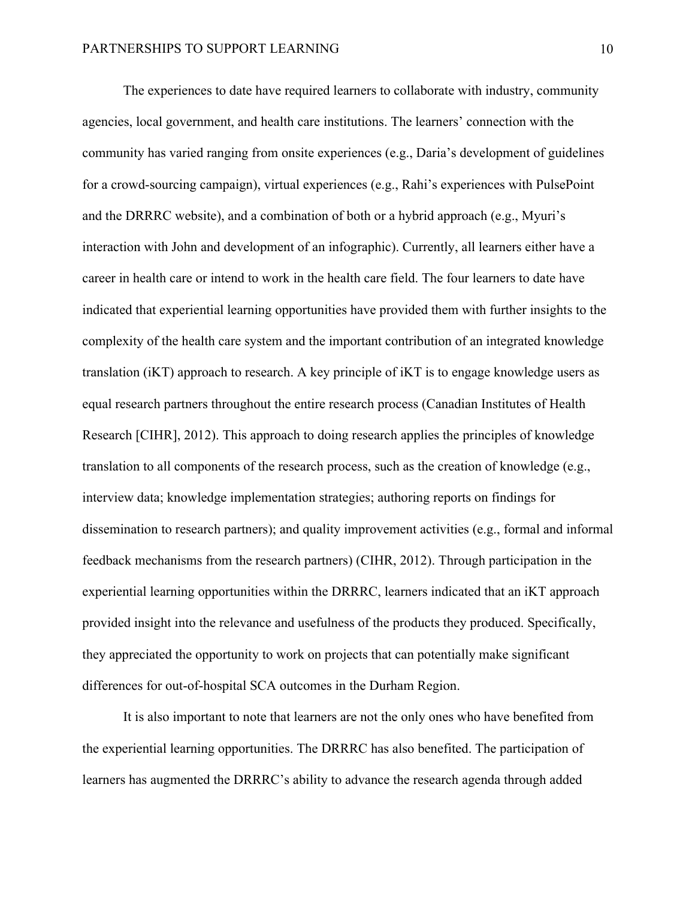The experiences to date have required learners to collaborate with industry, community agencies, local government, and health care institutions. The learners' connection with the community has varied ranging from onsite experiences (e.g., Daria's development of guidelines for a crowd-sourcing campaign), virtual experiences (e.g., Rahi's experiences with PulsePoint and the DRRRC website), and a combination of both or a hybrid approach (e.g., Myuri's interaction with John and development of an infographic). Currently, all learners either have a career in health care or intend to work in the health care field. The four learners to date have indicated that experiential learning opportunities have provided them with further insights to the complexity of the health care system and the important contribution of an integrated knowledge translation (iKT) approach to research. A key principle of iKT is to engage knowledge users as equal research partners throughout the entire research process (Canadian Institutes of Health Research [CIHR], 2012). This approach to doing research applies the principles of knowledge translation to all components of the research process, such as the creation of knowledge (e.g., interview data; knowledge implementation strategies; authoring reports on findings for dissemination to research partners); and quality improvement activities (e.g., formal and informal feedback mechanisms from the research partners) (CIHR, 2012). Through participation in the experiential learning opportunities within the DRRRC, learners indicated that an iKT approach provided insight into the relevance and usefulness of the products they produced. Specifically, they appreciated the opportunity to work on projects that can potentially make significant differences for out-of-hospital SCA outcomes in the Durham Region.

It is also important to note that learners are not the only ones who have benefited from the experiential learning opportunities. The DRRRC has also benefited. The participation of learners has augmented the DRRRC's ability to advance the research agenda through added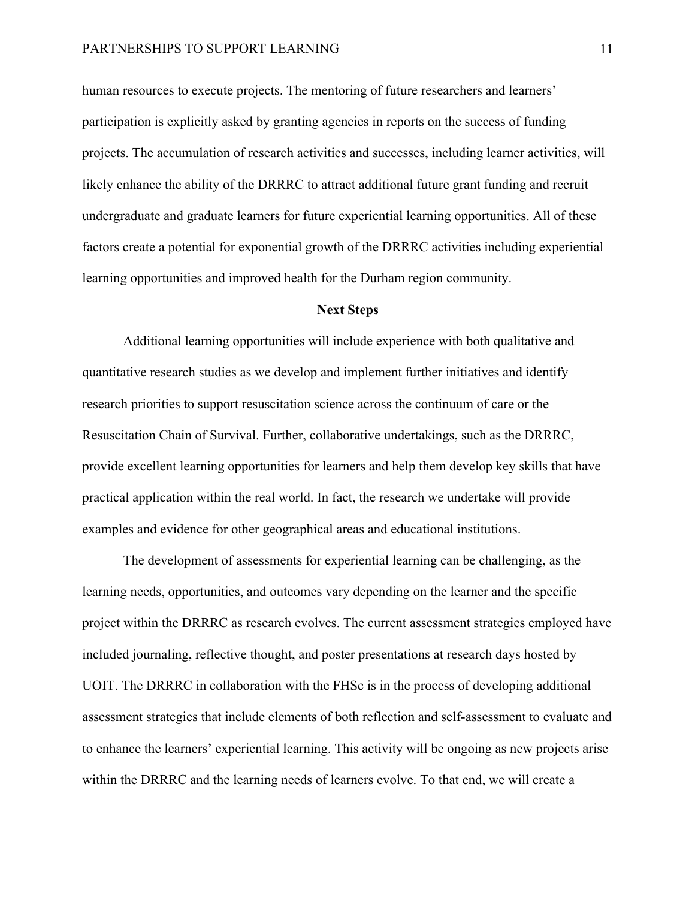human resources to execute projects. The mentoring of future researchers and learners' participation is explicitly asked by granting agencies in reports on the success of funding projects. The accumulation of research activities and successes, including learner activities, will likely enhance the ability of the DRRRC to attract additional future grant funding and recruit undergraduate and graduate learners for future experiential learning opportunities. All of these factors create a potential for exponential growth of the DRRRC activities including experiential learning opportunities and improved health for the Durham region community.

#### **Next Steps**

Additional learning opportunities will include experience with both qualitative and quantitative research studies as we develop and implement further initiatives and identify research priorities to support resuscitation science across the continuum of care or the Resuscitation Chain of Survival. Further, collaborative undertakings, such as the DRRRC, provide excellent learning opportunities for learners and help them develop key skills that have practical application within the real world. In fact, the research we undertake will provide examples and evidence for other geographical areas and educational institutions.

The development of assessments for experiential learning can be challenging, as the learning needs, opportunities, and outcomes vary depending on the learner and the specific project within the DRRRC as research evolves. The current assessment strategies employed have included journaling, reflective thought, and poster presentations at research days hosted by UOIT. The DRRRC in collaboration with the FHSc is in the process of developing additional assessment strategies that include elements of both reflection and self-assessment to evaluate and to enhance the learners' experiential learning. This activity will be ongoing as new projects arise within the DRRRC and the learning needs of learners evolve. To that end, we will create a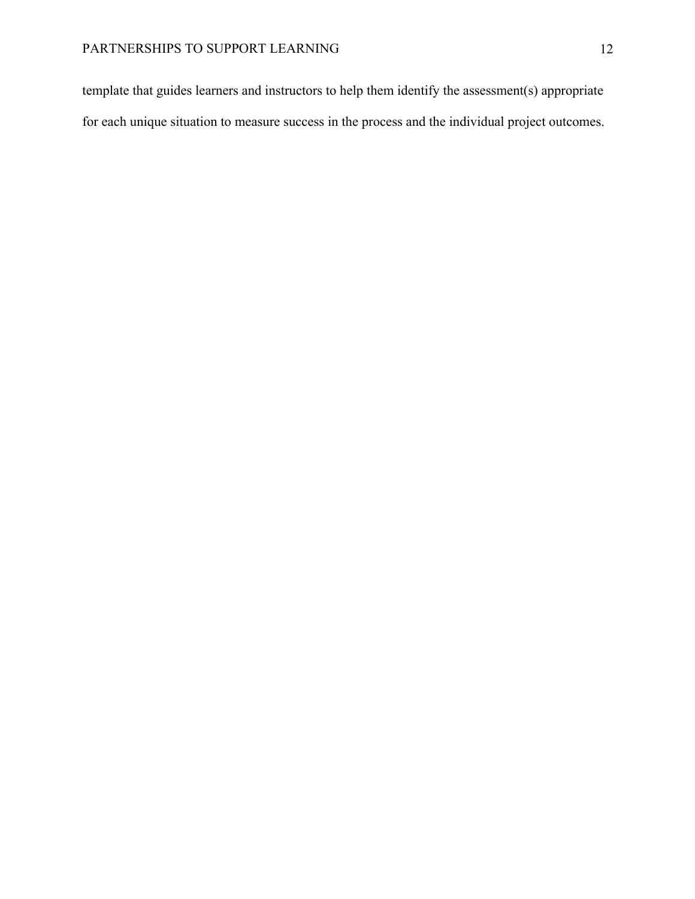template that guides learners and instructors to help them identify the assessment(s) appropriate for each unique situation to measure success in the process and the individual project outcomes.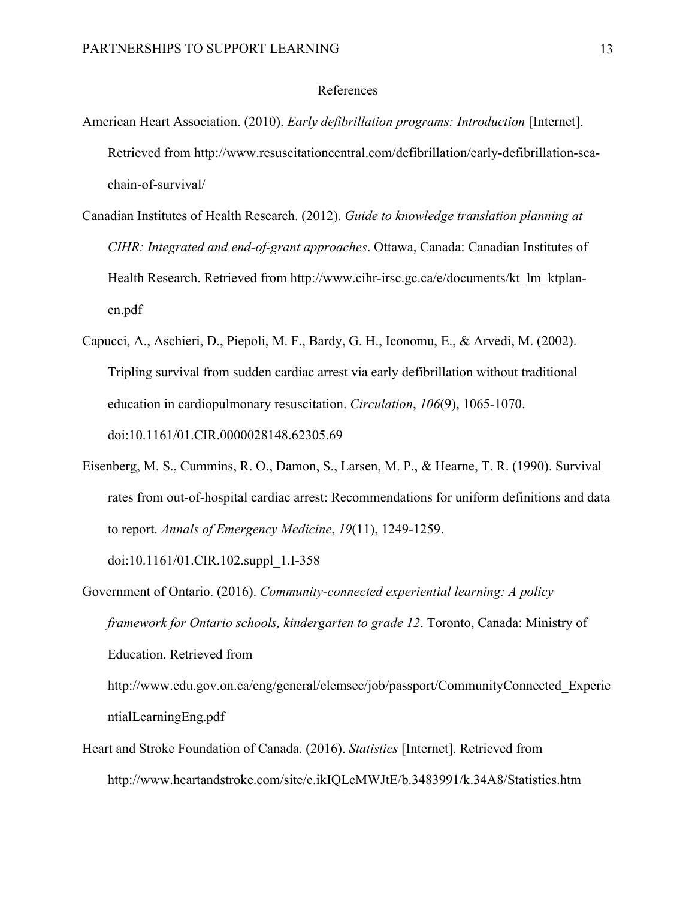#### References

- American Heart Association. (2010). *Early defibrillation programs: Introduction* [Internet]. Retrieved from http://www.resuscitationcentral.com/defibrillation/early-defibrillation-scachain-of-survival/
- Canadian Institutes of Health Research. (2012). *Guide to knowledge translation planning at CIHR: Integrated and end-of-grant approaches*. Ottawa, Canada: Canadian Institutes of Health Research. Retrieved from http://www.cihr-irsc.gc.ca/e/documents/kt\_lm\_ktplanen.pdf
- Capucci, A., Aschieri, D., Piepoli, M. F., Bardy, G. H., Iconomu, E., & Arvedi, M. (2002). Tripling survival from sudden cardiac arrest via early defibrillation without traditional education in cardiopulmonary resuscitation. *Circulation*, *106*(9), 1065-1070. doi:10.1161/01.CIR.0000028148.62305.69
- Eisenberg, M. S., Cummins, R. O., Damon, S., Larsen, M. P., & Hearne, T. R. (1990). Survival rates from out-of-hospital cardiac arrest: Recommendations for uniform definitions and data to report. *Annals of Emergency Medicine*, *19*(11), 1249-1259.

doi:10.1161/01.CIR.102.suppl\_1.I-358

- Government of Ontario. (2016). *Community-connected experiential learning: A policy framework for Ontario schools, kindergarten to grade 12*. Toronto, Canada: Ministry of Education. Retrieved from http://www.edu.gov.on.ca/eng/general/elemsec/job/passport/CommunityConnected\_Experie ntialLearningEng.pdf
- Heart and Stroke Foundation of Canada. (2016). *Statistics* [Internet]. Retrieved from http://www.heartandstroke.com/site/c.ikIQLcMWJtE/b.3483991/k.34A8/Statistics.htm